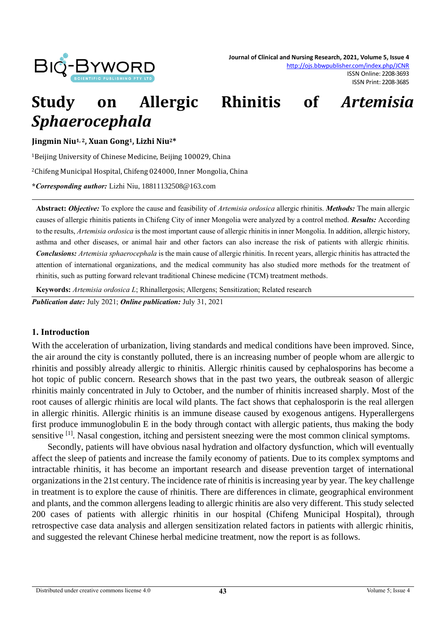

ISSN Print: 2208-3685

# **Study on Allergic Rhinitis of** *Artemisia Sphaerocephala*

**Jingmin Niu1, 2, Xuan Gong1, Lizhi Niu2\***

<sup>1</sup>Beijing University of Chinese Medicine, Beijing 100029, China

<sup>2</sup>Chifeng Municipal Hospital, Chifeng 024000, Inner Mongolia, China

**\****Corresponding author:* Lizhi Niu, 18811132508@163.com

**Abstract:** *Objective:* To explore the cause and feasibility of *Artemisia ordosica* allergic rhinitis. *Methods:* The main allergic causes of allergic rhinitis patients in Chifeng City of inner Mongolia were analyzed by a control method. *Results:* According to the results, *Artemisia ordosica* is the most important cause of allergic rhinitis in inner Mongolia. In addition, allergic history, asthma and other diseases, or animal hair and other factors can also increase the risk of patients with allergic rhinitis. *Conclusions: Artemisia sphaerocephala* is the main cause of allergic rhinitis. In recent years, allergic rhinitis has attracted the attention of international organizations, and the medical community has also studied more methods for the treatment of rhinitis, such as putting forward relevant traditional Chinese medicine (TCM) treatment methods.

**Keywords:** *Artemisia ordosica L*; Rhinallergosis; Allergens; Sensitization; Related research

*Publication date:* July 2021; *Online publication:* July 31, 2021

#### **1. Introduction**

With the acceleration of urbanization, living standards and medical conditions have been improved. Since, the air around the city is constantly polluted, there is an increasing number of people whom are allergic to rhinitis and possibly already allergic to rhinitis. Allergic rhinitis caused by cephalosporins has become a hot topic of public concern. Research shows that in the past two years, the outbreak season of allergic rhinitis mainly concentrated in July to October, and the number of rhinitis increased sharply. Most of the root causes of allergic rhinitis are local wild plants. The fact shows that cephalosporin is the real allergen in allergic rhinitis. Allergic rhinitis is an immune disease caused by exogenous antigens. Hyperallergens first produce immunoglobulin E in the body through contact with allergic patients, thus making the body sensitive <sup>[1]</sup>. Nasal congestion, itching and persistent sneezing were the most common clinical symptoms.

Secondly, patients will have obvious nasal hydration and olfactory dysfunction, which will eventually affect the sleep of patients and increase the family economy of patients. Due to its complex symptoms and intractable rhinitis, it has become an important research and disease prevention target of international organizations in the 21st century. The incidence rate of rhinitis is increasing year by year. The key challenge in treatment is to explore the cause of rhinitis. There are differences in climate, geographical environment and plants, and the common allergens leading to allergic rhinitis are also very different. This study selected 200 cases of patients with allergic rhinitis in our hospital (Chifeng Municipal Hospital), through retrospective case data analysis and allergen sensitization related factors in patients with allergic rhinitis, and suggested the relevant Chinese herbal medicine treatment, now the report is as follows.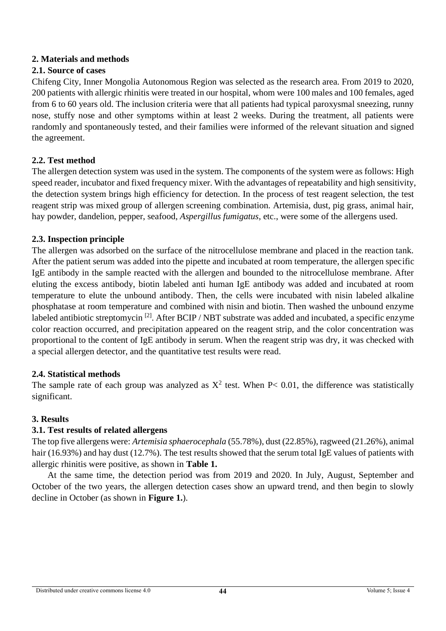## **2. Materials and methods**

## **2.1. Source of cases**

Chifeng City, Inner Mongolia Autonomous Region was selected as the research area. From 2019 to 2020, 200 patients with allergic rhinitis were treated in our hospital, whom were 100 males and 100 females, aged from 6 to 60 years old. The inclusion criteria were that all patients had typical paroxysmal sneezing, runny nose, stuffy nose and other symptoms within at least 2 weeks. During the treatment, all patients were randomly and spontaneously tested, and their families were informed of the relevant situation and signed the agreement.

## **2.2. Test method**

The allergen detection system was used in the system. The components of the system were as follows: High speed reader, incubator and fixed frequency mixer. With the advantages of repeatability and high sensitivity, the detection system brings high efficiency for detection. In the process of test reagent selection, the test reagent strip was mixed group of allergen screening combination. Artemisia, dust, pig grass, animal hair, hay powder, dandelion, pepper, seafood, *Aspergillus fumigatus*, etc., were some of the allergens used.

## **2.3. Inspection principle**

The allergen was adsorbed on the surface of the nitrocellulose membrane and placed in the reaction tank. After the patient serum was added into the pipette and incubated at room temperature, the allergen specific IgE antibody in the sample reacted with the allergen and bounded to the nitrocellulose membrane. After eluting the excess antibody, biotin labeled anti human IgE antibody was added and incubated at room temperature to elute the unbound antibody. Then, the cells were incubated with nisin labeled alkaline phosphatase at room temperature and combined with nisin and biotin. Then washed the unbound enzyme labeled antibiotic streptomycin [2]. After BCIP / NBT substrate was added and incubated, a specific enzyme color reaction occurred, and precipitation appeared on the reagent strip, and the color concentration was proportional to the content of IgE antibody in serum. When the reagent strip was dry, it was checked with a special allergen detector, and the quantitative test results were read.

## **2.4. Statistical methods**

The sample rate of each group was analyzed as  $X^2$  test. When P< 0.01, the difference was statistically significant.

### **3. Results**

### **3.1. Test results of related allergens**

The top five allergens were: *Artemisia sphaerocephala* (55.78%), dust (22.85%), ragweed (21.26%), animal hair (16.93%) and hay dust (12.7%). The test results showed that the serum total IgE values of patients with allergic rhinitis were positive, as shown in **Table 1.**

At the same time, the detection period was from 2019 and 2020. In July, August, September and October of the two years, the allergen detection cases show an upward trend, and then begin to slowly decline in October (as shown in **Figure 1.**).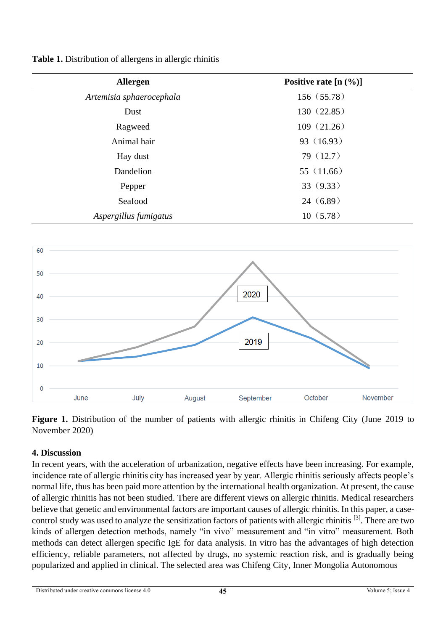| <b>Allergen</b>          | Positive rate $[n (%)]$ |
|--------------------------|-------------------------|
| Artemisia sphaerocephala | 156 (55.78)             |
| Dust                     | 130(22.85)              |
| Ragweed                  | 109(21.26)              |
| Animal hair              | 93 (16.93)              |
| Hay dust                 | 79(12.7)                |
| Dandelion                | 55 $(11.66)$            |
| Pepper                   | 33 (9.33)               |
| Seafood                  | 24(6.89)                |
| Aspergillus fumigatus    | 10(5.78)                |

**Table 1.** Distribution of allergens in allergic rhinitis



**Figure 1.** Distribution of the number of patients with allergic rhinitis in Chifeng City (June 2019 to November 2020)

### **4. Discussion**

In recent years, with the acceleration of urbanization, negative effects have been increasing. For example, incidence rate of allergic rhinitis city has increased year by year. Allergic rhinitis seriously affects people's normal life, thus has been paid more attention by the international health organization. At present, the cause of allergic rhinitis has not been studied. There are different views on allergic rhinitis. Medical researchers believe that genetic and environmental factors are important causes of allergic rhinitis. In this paper, a casecontrol study was used to analyze the sensitization factors of patients with allergic rhinitis [3]. There are two kinds of allergen detection methods, namely "in vivo" measurement and "in vitro" measurement. Both methods can detect allergen specific IgE for data analysis. In vitro has the advantages of high detection efficiency, reliable parameters, not affected by drugs, no systemic reaction risk, and is gradually being popularized and applied in clinical. The selected area was Chifeng City, Inner Mongolia Autonomous